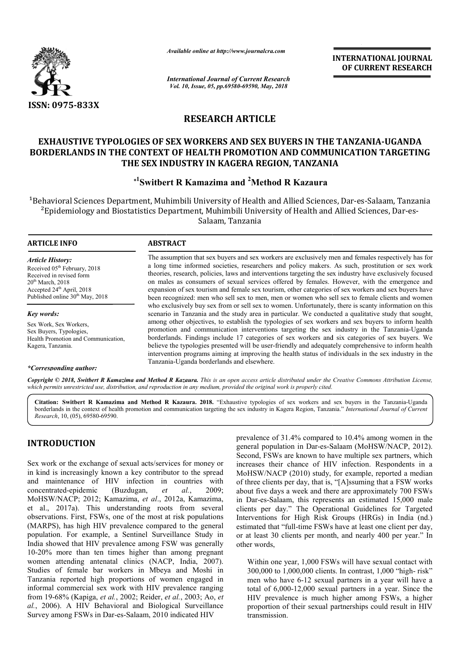

*Available online at http://www.journalcra.com*

# **RESEARCH ARTICLE**

## **EXHAUSTIVE TYPOLOGIES OF SEX WORKERS AND SEX BUYERS IN THE TANZANIA EXHAUSTIVE SEX BUYERS TANZANIA-UGANDA BORDERLANDS IN THE CONTEXT OF HEALTH PROMOTION AND COMMUNICATION TARGETING BORDERLANDS TARGETING THE SEX INDUSTRY IN KAGERA REGION, TANZANIA**

# **\*1 Switbert R Kamazima and 2 Method R Kazaura**

|                                                                                                                                                                                                                                                                                                                                                                                                                                                                                                                                                                | unuvic viinne ui nup.//www.jvurnuicru.com                                                                                                                                                                                                                                                                                                                                                                                                                                                                                                                                                                                                                                                                                                                                                                                                                                                                                                                                                                                                                                                                                                                                                                                                                                                                                                                                                                              |                         | <b>INTERNATIONAL JOURNAL</b><br>OF CURRENT RESEARCH                                                                                                                                                                                                                                                                                                                                                                                                                                                                                                                                                                                                                                                                                                                       |  |  |
|----------------------------------------------------------------------------------------------------------------------------------------------------------------------------------------------------------------------------------------------------------------------------------------------------------------------------------------------------------------------------------------------------------------------------------------------------------------------------------------------------------------------------------------------------------------|------------------------------------------------------------------------------------------------------------------------------------------------------------------------------------------------------------------------------------------------------------------------------------------------------------------------------------------------------------------------------------------------------------------------------------------------------------------------------------------------------------------------------------------------------------------------------------------------------------------------------------------------------------------------------------------------------------------------------------------------------------------------------------------------------------------------------------------------------------------------------------------------------------------------------------------------------------------------------------------------------------------------------------------------------------------------------------------------------------------------------------------------------------------------------------------------------------------------------------------------------------------------------------------------------------------------------------------------------------------------------------------------------------------------|-------------------------|---------------------------------------------------------------------------------------------------------------------------------------------------------------------------------------------------------------------------------------------------------------------------------------------------------------------------------------------------------------------------------------------------------------------------------------------------------------------------------------------------------------------------------------------------------------------------------------------------------------------------------------------------------------------------------------------------------------------------------------------------------------------------|--|--|
|                                                                                                                                                                                                                                                                                                                                                                                                                                                                                                                                                                | <b>International Journal of Current Research</b><br>Vol. 10, Issue, 05, pp.69580-69590, May, 2018                                                                                                                                                                                                                                                                                                                                                                                                                                                                                                                                                                                                                                                                                                                                                                                                                                                                                                                                                                                                                                                                                                                                                                                                                                                                                                                      |                         |                                                                                                                                                                                                                                                                                                                                                                                                                                                                                                                                                                                                                                                                                                                                                                           |  |  |
| ISSN: 0975-833X                                                                                                                                                                                                                                                                                                                                                                                                                                                                                                                                                |                                                                                                                                                                                                                                                                                                                                                                                                                                                                                                                                                                                                                                                                                                                                                                                                                                                                                                                                                                                                                                                                                                                                                                                                                                                                                                                                                                                                                        |                         |                                                                                                                                                                                                                                                                                                                                                                                                                                                                                                                                                                                                                                                                                                                                                                           |  |  |
|                                                                                                                                                                                                                                                                                                                                                                                                                                                                                                                                                                |                                                                                                                                                                                                                                                                                                                                                                                                                                                                                                                                                                                                                                                                                                                                                                                                                                                                                                                                                                                                                                                                                                                                                                                                                                                                                                                                                                                                                        | <b>RESEARCH ARTICLE</b> |                                                                                                                                                                                                                                                                                                                                                                                                                                                                                                                                                                                                                                                                                                                                                                           |  |  |
|                                                                                                                                                                                                                                                                                                                                                                                                                                                                                                                                                                | THE SEX INDUSTRY IN KAGERA REGION, TANZANIA                                                                                                                                                                                                                                                                                                                                                                                                                                                                                                                                                                                                                                                                                                                                                                                                                                                                                                                                                                                                                                                                                                                                                                                                                                                                                                                                                                            |                         | <b>EXHAUSTIVE TYPOLOGIES OF SEX WORKERS AND SEX BUYERS IN THE TANZANIA-UGANDA</b><br>BORDERLANDS IN THE CONTEXT OF HEALTH PROMOTION AND COMMUNICATION TARGETING                                                                                                                                                                                                                                                                                                                                                                                                                                                                                                                                                                                                           |  |  |
|                                                                                                                                                                                                                                                                                                                                                                                                                                                                                                                                                                | * <sup>1</sup> Switbert R Kamazima and <sup>2</sup> Method R Kazaura                                                                                                                                                                                                                                                                                                                                                                                                                                                                                                                                                                                                                                                                                                                                                                                                                                                                                                                                                                                                                                                                                                                                                                                                                                                                                                                                                   |                         |                                                                                                                                                                                                                                                                                                                                                                                                                                                                                                                                                                                                                                                                                                                                                                           |  |  |
|                                                                                                                                                                                                                                                                                                                                                                                                                                                                                                                                                                |                                                                                                                                                                                                                                                                                                                                                                                                                                                                                                                                                                                                                                                                                                                                                                                                                                                                                                                                                                                                                                                                                                                                                                                                                                                                                                                                                                                                                        | Salaam, Tanzania        | <sup>1</sup> Behavioral Sciences Department, Muhimbili University of Health and Allied Sciences, Dar-es-Salaam, Tanzania<br><sup>2</sup> Epidemiology and Biostatistics Department, Muhimbili University of Health and Allied Sciences, Dar-es-                                                                                                                                                                                                                                                                                                                                                                                                                                                                                                                           |  |  |
| <b>ARTICLE INFO</b>                                                                                                                                                                                                                                                                                                                                                                                                                                                                                                                                            | <b>ABSTRACT</b>                                                                                                                                                                                                                                                                                                                                                                                                                                                                                                                                                                                                                                                                                                                                                                                                                                                                                                                                                                                                                                                                                                                                                                                                                                                                                                                                                                                                        |                         |                                                                                                                                                                                                                                                                                                                                                                                                                                                                                                                                                                                                                                                                                                                                                                           |  |  |
| <b>Article History:</b><br>Received 05 <sup>th</sup> February, 2018<br>Received in revised form<br>20 <sup>th</sup> March, 2018<br>Accepted 24 <sup>th</sup> April, 2018<br>Published online 30 <sup>th</sup> May, 2018                                                                                                                                                                                                                                                                                                                                        | The assumption that sex buyers and sex workers are exclusively men and females respectively has for<br>a long time informed societies, researchers and policy makers. As such, prostitution or sex work<br>theories, research, policies, laws and interventions targeting the sex industry have exclusively focused<br>on males as consumers of sexual services offered by females. However, with the emergence and<br>expansion of sex tourism and female sex tourism, other categories of sex workers and sex buyers have<br>been recognized: men who sell sex to men, men or women who sell sex to female clients and women<br>who exclusively buy sex from or sell sex to women. Unfortunately, there is scanty information on this<br>scenario in Tanzania and the study area in particular. We conducted a qualitative study that sought,<br>among other objectives, to establish the typologies of sex workers and sex buyers to inform health<br>promotion and communication interventions targeting the sex industry in the Tanzania-Uganda<br>borderlands. Findings include 17 categories of sex workers and six categories of sex buyers. We<br>believe the typologies presented will be user-friendly and adequately comprehensive to inform health<br>intervention programs aiming at improving the health status of individuals in the sex industry in the<br>Tanzania-Uganda borderlands and elsewhere. |                         |                                                                                                                                                                                                                                                                                                                                                                                                                                                                                                                                                                                                                                                                                                                                                                           |  |  |
| Key words:<br>Sex Work, Sex Workers,<br>Sex Buyers, Typologies,<br>Health Promotion and Communication,<br>Kagera, Tanzania.                                                                                                                                                                                                                                                                                                                                                                                                                                    |                                                                                                                                                                                                                                                                                                                                                                                                                                                                                                                                                                                                                                                                                                                                                                                                                                                                                                                                                                                                                                                                                                                                                                                                                                                                                                                                                                                                                        |                         |                                                                                                                                                                                                                                                                                                                                                                                                                                                                                                                                                                                                                                                                                                                                                                           |  |  |
| *Corresponding author:                                                                                                                                                                                                                                                                                                                                                                                                                                                                                                                                         |                                                                                                                                                                                                                                                                                                                                                                                                                                                                                                                                                                                                                                                                                                                                                                                                                                                                                                                                                                                                                                                                                                                                                                                                                                                                                                                                                                                                                        |                         | Copyright © 2018, Swithert R Kamazima and Method R Kazaura. This is an open access article distributed under the Creative Commons Attribution License,                                                                                                                                                                                                                                                                                                                                                                                                                                                                                                                                                                                                                    |  |  |
| which permits unrestricted use, distribution, and reproduction in any medium, provided the original work is properly cited.<br><i>Research</i> , 10, (05), 69580-69590.                                                                                                                                                                                                                                                                                                                                                                                        |                                                                                                                                                                                                                                                                                                                                                                                                                                                                                                                                                                                                                                                                                                                                                                                                                                                                                                                                                                                                                                                                                                                                                                                                                                                                                                                                                                                                                        |                         | Citation: Switbert R Kamazima and Method R Kazaura. 2018. "Exhaustive typologies of sex workers and sex buyers in the Tanzania-Uganda<br>borderlands in the context of health promotion and communication targeting the sex industry in Kagera Region, Tanzania." International Journal of Current                                                                                                                                                                                                                                                                                                                                                                                                                                                                        |  |  |
| <b>INTRODUCTION</b><br>Sex work or the exchange of sexual acts/services for money or<br>in kind is increasingly known a key contributor to the spread<br>and maintenance of HIV infection in countries with<br>concentrated-epidemic<br>(Buzdugan,<br>MoHSW/NACP; 2012; Kamazima, et al., 2012a, Kamazima,<br>et al., 2017a). This understanding roots from several<br>observations. First, FSWs, one of the most at risk populations<br>(MARPS), has high HIV prevalence compared to the general<br>population. For example, a Sentinel Surveillance Study in | 2009;<br>al.<br>et                                                                                                                                                                                                                                                                                                                                                                                                                                                                                                                                                                                                                                                                                                                                                                                                                                                                                                                                                                                                                                                                                                                                                                                                                                                                                                                                                                                                     |                         | prevalence of 31.4% compared to 10.4% among women in the<br>general population in Dar-es-Salaam (MoHSW/NACP, 2012).<br>Second, FSWs are known to have multiple sex partners, which<br>increases their chance of HIV infection. Respondents in a<br>MoHSW/NACP (2010) study, for example, reported a median<br>of three clients per day, that is, "[A]ssuming that a FSW works<br>about five days a week and there are approximately 700 FSWs<br>in Dar-es-Salaam, this represents an estimated 15,000 male<br>clients per day." The Operational Guidelines for Targeted<br>Interventions for High Risk Groups (HRGs) in India (nd.)<br>estimated that "full-time FSWs have at least one client per day,<br>or at least 30 clients per month, and nearly 400 per year." In |  |  |
| India showed that HIV prevalence among FSW was generally<br>10-20% more than ten times higher than among pregnant<br>women attending antenatal clinics (NACP, India, 2007).<br>Studies of female bar workers in Mbeya and Moshi in<br>Tanzania reported high proportions of women engaged in<br>informal commercial sex work with HIV prevalence ranging<br>from 19-68% (Kapiga, et al., 2002; Reider, et al., 2003; Ao, et<br>al., 2006). A HIV Behavioral and Biological Surveillance                                                                        |                                                                                                                                                                                                                                                                                                                                                                                                                                                                                                                                                                                                                                                                                                                                                                                                                                                                                                                                                                                                                                                                                                                                                                                                                                                                                                                                                                                                                        | other words,            | Within one year, 1,000 FSWs will have sexual contact with<br>300,000 to 1,000,000 clients. In contrast, 1,000 "high-risk"<br>men who have 6-12 sexual partners in a year will have a<br>total of 6,000-12,000 sexual partners in a year. Since the<br>HIV prevalence is much higher among FSWs, a higher<br>proportion of their sexual partnerships could result in HIV                                                                                                                                                                                                                                                                                                                                                                                                   |  |  |

# **INTRODUCTION**

Sex work or the exchange of sexual acts/services for money or in kind is increasingly known a key contributor to the spread and maintenance of HIV infection in countries with concentrated-epidemic (Buzdugan, *et al.* MoHSW/NACP; 2012; Kamazima, *et al*., 2012a, Kamazima, et al., 2017a). This understanding roots from several observations. First, FSWs, one of the most at risk populations (MARPS), has high HIV prevalence compared to the general population. For example, a Sentinel Surveillance Study in India showed that HIV prevalence among FSW was generally 10-20% more than ten times higher than among pregnant women attending antenatal clinics (NACP, India, 2007). Studies of female bar workers in Mbeya and Moshi in Tanzania reported high proportions of women engaged in informal commercial sex work with HIV prevalence ranging from 19-68% (Kapiga, *et al.*, 2002; Reider, *et al.* , 2003; Ao, *et al.*, 2006). A HIV Behavioral and Biological Surveillance Survey among FSWs in Dar-es-Salaam, 2010 indicated HIV , 2009; HSW/NACP; 2012; Kamazima, *et al.*, al., 2017a). This understanding reservations. First, FSWs, one of the most ARPS), has high HIV prevalence compulation. For example, a Sentinel Sur ia showed that HIV prevalence among l 2

Within one year, 1,000 FSWs will have sexual contact with 300,000 to 1,000,000 clients. In contrast, 1,000 "high-risk" men who have 6-12 sexual partners in a year will have a total of 6,000-12,000 sexual partners in a year. Since the HIV prevalence is much higher among FSWs, a higher proportion of their sexual partnerships could result in HIV transmission.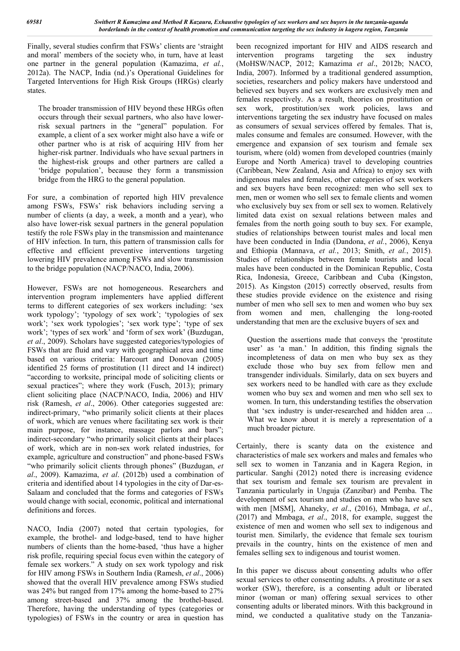Finally, several studies confirm that FSWs' clients are 'straight and moral' members of the society who, in turn, have at least one partner in the general population (Kamazima, *et al.*, 2012a). The NACP, India (nd.)'s Operational Guidelines for Targeted Interventions for High Risk Groups (HRGs) clearly states.

The broader transmission of HIV beyond these HRGs often occurs through their sexual partners, who also have lowerrisk sexual partners in the "general" population. For example, a client of a sex worker might also have a wife or other partner who is at risk of acquiring HIV from her higher-risk partner. Individuals who have sexual partners in the highest-risk groups and other partners are called a 'bridge population', because they form a transmission bridge from the HRG to the general population.

For sure, a combination of reported high HIV prevalence among FSWs, FSWs' risk behaviors including serving a number of clients (a day, a week, a month and a year), who also have lower-risk sexual partners in the general population testify the role FSWs play in the transmission and maintenance of HIV infection. In turn, this pattern of transmission calls for effective and efficient preventive interventions targeting lowering HIV prevalence among FSWs and slow transmission to the bridge population (NACP/NACO, India, 2006).

However, FSWs are not homogeneous. Researchers and intervention program implementers have applied different terms to different categories of sex workers including: 'sex work typology'; 'typology of sex work'; 'typologies of sex work'; 'sex work typologies'; 'sex work type'; 'type of sex work'; 'types of sex work' and 'form of sex work' (Buzdugan, *et al*., 2009). Scholars have suggested categories/typologies of FSWs that are fluid and vary with geographical area and time based on various criteria: Harcourt and Donovan (2005) identified 25 forms of prostitution (11 direct and 14 indirect) "according to worksite, principal mode of soliciting clients or sexual practices"; where they work (Fusch, 2013); primary client soliciting place (NACP/NACO, India, 2006) and HIV risk (Ramesh, *et al*., 2006). Other categories suggested are: indirect-primary, "who primarily solicit clients at their places of work, which are venues where facilitating sex work is their main purpose, for instance, massage parlors and bars"; indirect-secondary "who primarily solicit clients at their places of work, which are in non-sex work related industries, for example, agriculture and construction" and phone-based FSWs "who primarily solicit clients through phones" (Buzdugan, *et al*., 2009). Kamazima, *et al*. (2012b) used a combination of criteria and identified about 14 typologies in the city of Dar-es-Salaam and concluded that the forms and categories of FSWs would change with social, economic, political and international definitions and forces.

NACO, India (2007) noted that certain typologies, for example, the brothel- and lodge-based, tend to have higher numbers of clients than the home-based, 'thus have a higher risk profile, requiring special focus even within the category of female sex workers." A study on sex work typology and risk for HIV among FSWs in Southern India (Ramesh, *et al*., 2006) showed that the overall HIV prevalence among FSWs studied was 24% but ranged from 17% among the home-based to 27% among street-based and 37% among the brothel-based. Therefore, having the understanding of types (categories or typologies) of FSWs in the country or area in question has

been recognized important for HIV and AIDS research and intervention programs targeting the sex industry (MoHSW/NACP, 2012; Kamazima *et al*., 2012b; NACO, India, 2007). Informed by a traditional gendered assumption, societies, researchers and policy makers have understood and believed sex buyers and sex workers are exclusively men and females respectively. As a result, theories on prostitution or sex work, prostitution/sex work policies, laws and interventions targeting the sex industry have focused on males as consumers of sexual services offered by females. That is, males consume and females are consumed. However, with the emergence and expansion of sex tourism and female sex tourism, where (old) women from developed countries (mainly Europe and North America) travel to developing countries (Caribbean, New Zealand, Asia and Africa) to enjoy sex with indigenous males and females, other categories of sex workers and sex buyers have been recognized: men who sell sex to men, men or women who sell sex to female clients and women who exclusively buy sex from or sell sex to women. Relatively limited data exist on sexual relations between males and females from the north going south to buy sex. For example, studies of relationships between tourist males and local men have been conducted in India (Dandona, *et al.*, 2006), Kenya and Ethiopia (Mannava, *et al.*, 2013; Smith, *et al.*, 2015). Studies of relationships between female tourists and local males have been conducted in the Dominican Republic, Costa Rica, Indonesia, Greece, Caribbean and Cuba (Kingston, 2015). As Kingston (2015) correctly observed, results from these studies provide evidence on the existence and rising number of men who sell sex to men and women who buy sex from women and men, challenging the long-rooted understanding that men are the exclusive buyers of sex and

Question the assertions made that conveys the 'prostitute user' as 'a man.' In addition, this finding signals the incompleteness of data on men who buy sex as they exclude those who buy sex from fellow men and transgender individuals. Similarly, data on sex buyers and sex workers need to be handled with care as they exclude women who buy sex and women and men who sell sex to women. In turn, this understanding testifies the observation that 'sex industry is under-researched and hidden area ... What we know about it is merely a representation of a much broader picture.

Certainly, there is scanty data on the existence and characteristics of male sex workers and males and females who sell sex to women in Tanzania and in Kagera Region, in particular. Sanghi (2012) noted there is increasing evidence that sex tourism and female sex tourism are prevalent in Tanzania particularly in Unguja (Zanzibar) and Pemba. The development of sex tourism and studies on men who have sex with men [MSM], Ahaneky, *et al*., (2016), Mmbaga, *et al*., (2017) and Mmbaga, *et al*., 2018, for example, suggest the existence of men and women who sell sex to indigenous and tourist men. Similarly, the evidence that female sex tourism prevails in the country, hints on the existence of men and females selling sex to indigenous and tourist women.

In this paper we discuss about consenting adults who offer sexual services to other consenting adults. A prostitute or a sex worker (SW), therefore, is a consenting adult or liberated minor (woman or man) offering sexual services to other consenting adults or liberated minors. With this background in mind, we conducted a qualitative study on the Tanzania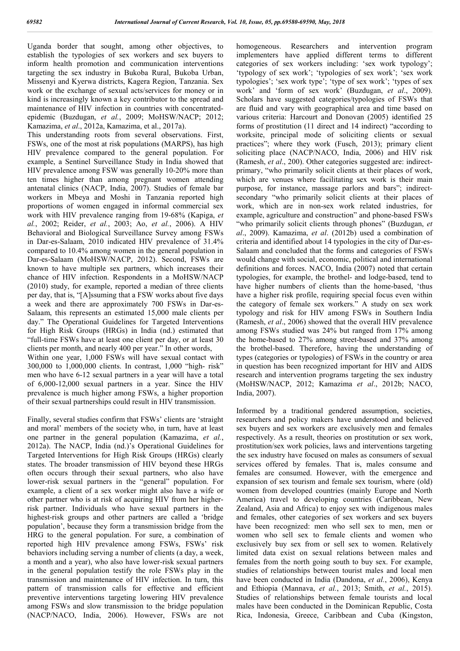Uganda border that sought, among other objectives, to establish the typologies of sex workers and sex buyers to inform health promotion and communication interventions targeting the sex industry in Bukoba Rural, Bukoba Urban, Missenyi and Kyerwa districts, Kagera Region, Tanzania. Sex work or the exchange of sexual acts/services for money or in kind is increasingly known a key contributor to the spread and maintenance of HIV infection in countries with concentratedepidemic (Buzdugan, *et al.*, 2009; MoHSW/NACP; 2012; Kamazima, *et al*., 2012a, Kamazima, et al., 2017a).

This understanding roots from several observations. First, FSWs, one of the most at risk populations (MARPS), has high HIV prevalence compared to the general population. For example, a Sentinel Surveillance Study in India showed that HIV prevalence among FSW was generally 10-20% more than ten times higher than among pregnant women attending antenatal clinics (NACP, India, 2007). Studies of female bar workers in Mbeya and Moshi in Tanzania reported high proportions of women engaged in informal commercial sex work with HIV prevalence ranging from 19-68% (Kapiga, *et al.*, 2002; Reider, *et al.*, 2003; Ao, *et al.*, 2006). A HIV Behavioral and Biological Surveillance Survey among FSWs in Dar-es-Salaam, 2010 indicated HIV prevalence of 31.4% compared to 10.4% among women in the general population in Dar-es-Salaam (MoHSW/NACP, 2012). Second, FSWs are known to have multiple sex partners, which increases their chance of HIV infection. Respondents in a MoHSW/NACP (2010) study, for example, reported a median of three clients per day, that is, "[A]ssuming that a FSW works about five days a week and there are approximately 700 FSWs in Dar-es-Salaam, this represents an estimated 15,000 male clients per day." The Operational Guidelines for Targeted Interventions for High Risk Groups (HRGs) in India (nd.) estimated that "full-time FSWs have at least one client per day, or at least 30 clients per month, and nearly 400 per year." In other words, Within one year, 1,000 FSWs will have sexual contact with 300,000 to 1,000,000 clients. In contrast, 1,000 "high- risk" men who have 6-12 sexual partners in a year will have a total of 6,000-12,000 sexual partners in a year. Since the HIV prevalence is much higher among FSWs, a higher proportion of their sexual partnerships could result in HIV transmission.

Finally, several studies confirm that FSWs' clients are 'straight and moral' members of the society who, in turn, have at least one partner in the general population (Kamazima, *et al.*, 2012a). The NACP, India (nd.)'s Operational Guidelines for Targeted Interventions for High Risk Groups (HRGs) clearly states. The broader transmission of HIV beyond these HRGs often occurs through their sexual partners, who also have lower-risk sexual partners in the "general" population. For example, a client of a sex worker might also have a wife or other partner who is at risk of acquiring HIV from her higherrisk partner. Individuals who have sexual partners in the highest-risk groups and other partners are called a 'bridge population', because they form a transmission bridge from the HRG to the general population. For sure, a combination of reported high HIV prevalence among FSWs, FSWs' risk behaviors including serving a number of clients (a day, a week, a month and a year), who also have lower-risk sexual partners in the general population testify the role FSWs play in the transmission and maintenance of HIV infection. In turn, this pattern of transmission calls for effective and efficient preventive interventions targeting lowering HIV prevalence among FSWs and slow transmission to the bridge population (NACP/NACO, India, 2006). However, FSWs are not

homogeneous. Researchers and intervention program implementers have applied different terms to different categories of sex workers including: 'sex work typology'; 'typology of sex work'; 'typologies of sex work'; 'sex work typologies'; 'sex work type'; 'type of sex work'; 'types of sex work' and 'form of sex work' (Buzdugan, *et al*., 2009). Scholars have suggested categories/typologies of FSWs that are fluid and vary with geographical area and time based on various criteria: Harcourt and Donovan (2005) identified 25 forms of prostitution (11 direct and 14 indirect) "according to worksite, principal mode of soliciting clients or sexual practices"; where they work (Fusch, 2013); primary client soliciting place (NACP/NACO, India, 2006) and HIV risk (Ramesh, *et al*., 200). Other categories suggested are: indirectprimary, "who primarily solicit clients at their places of work, which are venues where facilitating sex work is their main purpose, for instance, massage parlors and bars"; indirectsecondary "who primarily solicit clients at their places of work, which are in non-sex work related industries, for example, agriculture and construction" and phone-based FSWs "who primarily solicit clients through phones" (Buzdugan, *et al*., 2009). Kamazima, *et al*. (2012b) used a combination of criteria and identified about 14 typologies in the city of Dar-es-Salaam and concluded that the forms and categories of FSWs would change with social, economic, political and international definitions and forces. NACO, India (2007) noted that certain typologies, for example, the brothel- and lodge-based, tend to have higher numbers of clients than the home-based, 'thus have a higher risk profile, requiring special focus even within the category of female sex workers." A study on sex work typology and risk for HIV among FSWs in Southern India (Ramesh, *et al*., 2006) showed that the overall HIV prevalence among FSWs studied was 24% but ranged from 17% among the home-based to 27% among street-based and 37% among the brothel-based. Therefore, having the understanding of types (categories or typologies) of FSWs in the country or area in question has been recognized important for HIV and AIDS research and intervention programs targeting the sex industry (MoHSW/NACP, 2012; Kamazima *et al*., 2012b; NACO, India, 2007).

Informed by a traditional gendered assumption, societies, researchers and policy makers have understood and believed sex buyers and sex workers are exclusively men and females respectively. As a result, theories on prostitution or sex work, prostitution/sex work policies, laws and interventions targeting the sex industry have focused on males as consumers of sexual services offered by females. That is, males consume and females are consumed. However, with the emergence and expansion of sex tourism and female sex tourism, where (old) women from developed countries (mainly Europe and North America) travel to developing countries (Caribbean, New Zealand, Asia and Africa) to enjoy sex with indigenous males and females, other categories of sex workers and sex buyers have been recognized: men who sell sex to men, men or women who sell sex to female clients and women who exclusively buy sex from or sell sex to women. Relatively limited data exist on sexual relations between males and females from the north going south to buy sex. For example, studies of relationships between tourist males and local men have been conducted in India (Dandona, *et al.*, 2006), Kenya and Ethiopia (Mannava, *et al.*, 2013; Smith, *et al.*, 2015). Studies of relationships between female tourists and local males have been conducted in the Dominican Republic, Costa Rica, Indonesia, Greece, Caribbean and Cuba (Kingston,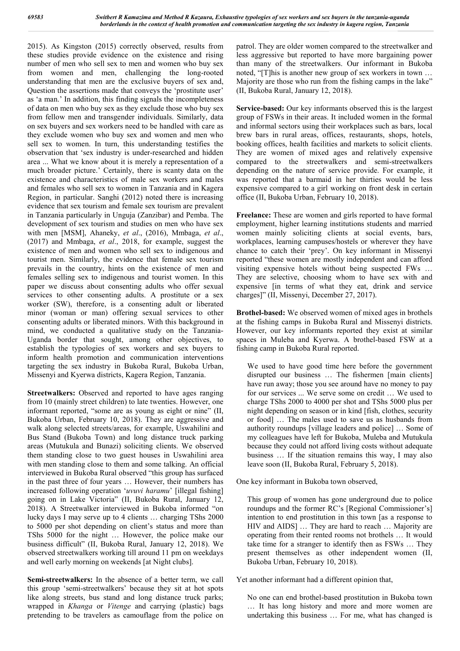2015). As Kingston (2015) correctly observed, results from these studies provide evidence on the existence and rising number of men who sell sex to men and women who buy sex from women and men, challenging the long-rooted understanding that men are the exclusive buyers of sex and, Question the assertions made that conveys the 'prostitute user' as 'a man.' In addition, this finding signals the incompleteness of data on men who buy sex as they exclude those who buy sex from fellow men and transgender individuals. Similarly, data on sex buyers and sex workers need to be handled with care as they exclude women who buy sex and women and men who sell sex to women. In turn, this understanding testifies the observation that 'sex industry is under-researched and hidden area ... What we know about it is merely a representation of a much broader picture.' Certainly, there is scanty data on the existence and characteristics of male sex workers and males and females who sell sex to women in Tanzania and in Kagera Region, in particular. Sanghi (2012) noted there is increasing evidence that sex tourism and female sex tourism are prevalent in Tanzania particularly in Unguja (Zanzibar) and Pemba. The development of sex tourism and studies on men who have sex with men [MSM], Ahaneky, *et al*., (2016), Mmbaga, *et al*., (2017) and Mmbaga, *et al*., 2018, for example, suggest the existence of men and women who sell sex to indigenous and tourist men. Similarly, the evidence that female sex tourism prevails in the country, hints on the existence of men and females selling sex to indigenous and tourist women. In this paper we discuss about consenting adults who offer sexual services to other consenting adults. A prostitute or a sex worker (SW), therefore, is a consenting adult or liberated minor (woman or man) offering sexual services to other consenting adults or liberated minors. With this background in mind, we conducted a qualitative study on the Tanzania-Uganda border that sought, among other objectives, to establish the typologies of sex workers and sex buyers to inform health promotion and communication interventions targeting the sex industry in Bukoba Rural, Bukoba Urban, Missenyi and Kyerwa districts, Kagera Region, Tanzania.

**Streetwalkers:** Observed and reported to have ages ranging from 10 (mainly street children) to late twenties. However, one informant reported, "some are as young as eight or nine" (II, Bukoba Urban, February 10, 2018). They are aggressive and walk along selected streets/areas, for example, Uswahilini and Bus Stand (Bukoba Town) and long distance truck parking areas (Mutukula and Bunazi) soliciting clients. We observed them standing close to two guest houses in Uswahilini area with men standing close to them and some talking. An official interviewed in Bukoba Rural observed "this group has surfaced in the past three of four years … However, their numbers has increased following operation '*uvuvi haramu*' [illegal fishing] going on in Lake Victoria" (II, Bukoba Rural, January 12, 2018). A Streetwalker interviewed in Bukoba informed "on lucky days I may serve up to 4 clients … charging TShs 2000 to 5000 per shot depending on client's status and more than TShs 5000 for the night … However, the police make our business difficult" (II, Bukoba Rural, January 12, 2018). We observed streetwalkers working till around 11 pm on weekdays and well early morning on weekends [at Night clubs].

**Semi-streetwalkers:** In the absence of a better term, we call this group 'semi-streetwalkers' because they sit at hot spots like along streets, bus stand and long distance truck parks; wrapped in *Khanga* or *Vitenge* and carrying (plastic) bags pretending to be travelers as camouflage from the police on

patrol. They are older women compared to the streetwalker and less aggressive but reported to have more bargaining power than many of the streetwalkers. Our informant in Bukoba noted, "[T]his is another new group of sex workers in town … Majority are those who run from the fishing camps in the lake" (II, Bukoba Rural, January 12, 2018).

**Service-based:** Our key informants observed this is the largest group of FSWs in their areas. It included women in the formal and informal sectors using their workplaces such as bars, local brew bars in rural areas, offices, restaurants, shops, hotels, booking offices, health facilities and markets to solicit clients. They are women of mixed ages and relatively expensive compared to the streetwalkers and semi-streetwalkers depending on the nature of service provide. For example, it was reported that a barmaid in her thirties would be less expensive compared to a girl working on front desk in certain office (II, Bukoba Urban, February 10, 2018).

**Freelance:** These are women and girls reported to have formal employment, higher learning institutions students and married women mainly soliciting clients at social events, bars, workplaces, learning campuses/hostels or wherever they have chance to catch their 'prey'. On key informant in Missenyi reported "these women are mostly independent and can afford visiting expensive hotels without being suspected FWs … They are selective, choosing whom to have sex with and expensive [in terms of what they eat, drink and service charges]" (II, Missenyi, December 27, 2017).

**Brothel-based:** We observed women of mixed ages in brothels at the fishing camps in Bukoba Rural and Missenyi districts. However, our key informants reported they exist at similar spaces in Muleba and Kyerwa. A brothel-based FSW at a fishing camp in Bukoba Rural reported.

We used to have good time here before the government disrupted our business … The fishermen [main clients] have run away; those you see around have no money to pay for our services ... We serve some on credit … We used to charge TShs 2000 to 4000 per shot and TShs 5000 plus per night depending on season or in kind [fish, clothes, security or food] … The males used to save us as husbands from authority roundups [village leaders and police] … Some of my colleagues have left for Bukoba, Muleba and Mutukula because they could not afford living costs without adequate business … If the situation remains this way, I may also leave soon (II, Bukoba Rural, February 5, 2018).

One key informant in Bukoba town observed,

This group of women has gone underground due to police roundups and the former RC's [Regional Commissioner's] intention to end prostitution in this town [as a response to HIV and AIDS] … They are hard to reach … Majority are operating from their rented rooms not brothels … It would take time for a stranger to identify then as FSWs … They present themselves as other independent women (II, Bukoba Urban, February 10, 2018).

Yet another informant had a different opinion that,

No one can end brothel-based prostitution in Bukoba town … It has long history and more and more women are undertaking this business … For me, what has changed is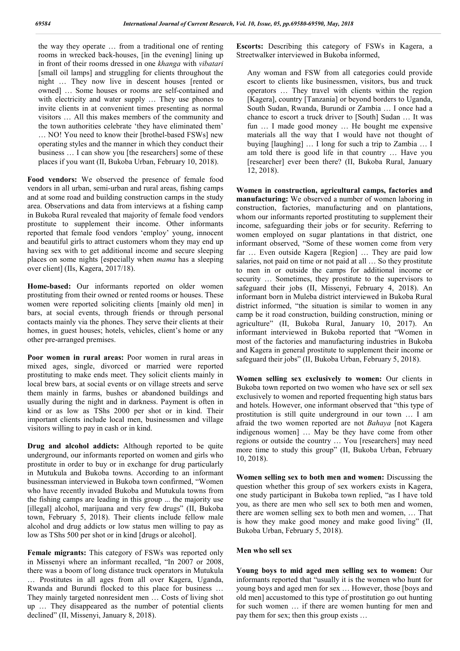the way they operate … from a traditional one of renting rooms in wrecked back-houses, [in the evening] lining up in front of their rooms dressed in one *khanga* with *vibatari* [small oil lamps] and struggling for clients throughout the night … They now live in descent houses [rented or owned] … Some houses or rooms are self-contained and with electricity and water supply ... They use phones to invite clients in at convenient times presenting as normal visitors … All this makes members of the community and the town authorities celebrate 'they have eliminated them' … NO! You need to know their [brothel-based FSWs] new operating styles and the manner in which they conduct their business … I can show you [the researchers] some of these places if you want (II, Bukoba Urban, February 10, 2018).

**Food vendors:** We observed the presence of female food vendors in all urban, semi-urban and rural areas, fishing camps and at some road and building construction camps in the study area. Observations and data from interviews at a fishing camp in Bukoba Rural revealed that majority of female food vendors prostitute to supplement their income. Other informants reported that female food vendors 'employ' young, innocent and beautiful girls to attract customers whom they may end up having sex with to get additional income and secure sleeping places on some nights [especially when *mama* has a sleeping over client] (IIs, Kagera, 2017/18).

**Home-based:** Our informants reported on older women prostituting from their owned or rented rooms or houses. These women were reported soliciting clients [mainly old men] in bars, at social events, through friends or through personal contacts mainly via the phones. They serve their clients at their homes, in guest houses; hotels, vehicles, client's home or any other pre-arranged premises.

**Poor women in rural areas:** Poor women in rural areas in mixed ages, single, divorced or married were reported prostituting to make ends meet. They solicit clients mainly in local brew bars, at social events or on village streets and serve them mainly in farms, bushes or abandoned buildings and usually during the night and in darkness. Payment is often in kind or as low as TShs 2000 per shot or in kind. Their important clients include local men, businessmen and village visitors willing to pay in cash or in kind.

**Drug and alcohol addicts:** Although reported to be quite underground, our informants reported on women and girls who prostitute in order to buy or in exchange for drug particularly in Mutukula and Bukoba towns. According to an informant businessman interviewed in Bukoba town confirmed, "Women who have recently invaded Bukoba and Mutukula towns from the fishing camps are leading in this group ... the majority use [illegal] alcohol, marijuana and very few drugs" (II, Bukoba town, February 5, 2018). Their clients include fellow male alcohol and drug addicts or low status men willing to pay as low as TShs 500 per shot or in kind [drugs or alcohol].

**Female migrants:** This category of FSWs was reported only in Missenyi where an informant recalled, "In 2007 or 2008, there was a boom of long distance truck operators in Mutukula … Prostitutes in all ages from all over Kagera, Uganda, Rwanda and Burundi flocked to this place for business … They mainly targeted nonresident men … Costs of living shot up … They disappeared as the number of potential clients declined" (II, Missenyi, January 8, 2018).

**Escorts:** Describing this category of FSWs in Kagera, a Streetwalker interviewed in Bukoba informed,

Any woman and FSW from all categories could provide escort to clients like businessmen, visitors, bus and truck operators … They travel with clients within the region [Kagera], country [Tanzania] or beyond borders to Uganda, South Sudan, Rwanda, Burundi or Zambia … I once had a chance to escort a truck driver to [South] Sudan … It was fun … I made good money … He bought me expensive materials all the way that I would have not thought of buying [laughing] … I long for such a trip to Zambia … I am told there is good life in that country … Have you [researcher] ever been there? (II, Bukoba Rural, January 12, 2018).

**Women in construction, agricultural camps, factories and manufacturing:** We observed a number of women laboring in construction, factories, manufacturing and on plantations, whom our informants reported prostituting to supplement their income, safeguarding their jobs or for security. Referring to women employed on sugar plantations in that district, one informant observed, "Some of these women come from very far … Even outside Kagera [Region] … They are paid low salaries, not paid on time or not paid at all … So they prostitute to men in or outside the camps for additional income or security … Sometimes, they prostitute to the supervisors to safeguard their jobs (II, Missenyi, February 4, 2018). An informant born in Muleba district interviewed in Bukoba Rural district informed, "the situation is similar to women in any camp be it road construction, building construction, mining or agriculture" (II, Bukoba Rural, January 10, 2017). An informant interviewed in Bukoba reported that "Women in most of the factories and manufacturing industries in Bukoba and Kagera in general prostitute to supplement their income or safeguard their jobs" (II, Bukoba Urban, February 5, 2018).

**Women selling sex exclusively to women:** Our clients in Bukoba town reported on two women who have sex or sell sex exclusively to women and reported frequenting high status bars and hotels. However, one informant observed that "this type of prostitution is still quite underground in our town … I am afraid the two women reported are not *Bahaya* [not Kagera indigenous women] … May be they have come from other regions or outside the country … You [researchers] may need more time to study this group" (II, Bukoba Urban, February 10, 2018).

**Women selling sex to both men and women:** Discussing the question whether this group of sex workers exists in Kagera, one study participant in Bukoba town replied, "as I have told you, as there are men who sell sex to both men and women, there are women selling sex to both men and women, … That is how they make good money and make good living" (II, Bukoba Urban, February 5, 2018).

#### **Men who sell sex**

**Young boys to mid aged men selling sex to women:** Our informants reported that "usually it is the women who hunt for young boys and aged men for sex … However, those [boys and old men] accustomed to this type of prostitution go out hunting for such women … if there are women hunting for men and pay them for sex; then this group exists …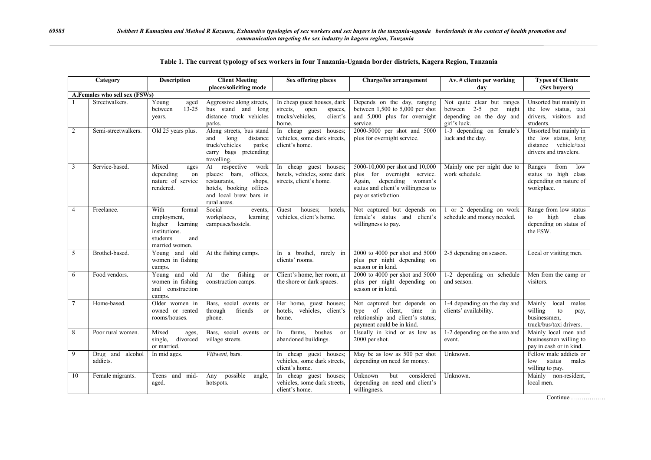| Category                      |                              | <b>Description</b>                                                                                     | <b>Client Meeting</b>                                                                                                                                | <b>Sex offering places</b>                                                                          | Charge/fee arrangement                                                                                                                                   | Av. # clients per working                                                                          | <b>Types of Clients</b>                                                                           |  |  |
|-------------------------------|------------------------------|--------------------------------------------------------------------------------------------------------|------------------------------------------------------------------------------------------------------------------------------------------------------|-----------------------------------------------------------------------------------------------------|----------------------------------------------------------------------------------------------------------------------------------------------------------|----------------------------------------------------------------------------------------------------|---------------------------------------------------------------------------------------------------|--|--|
|                               |                              |                                                                                                        | places/soliciting mode                                                                                                                               |                                                                                                     |                                                                                                                                                          | dav                                                                                                | (Sex buvers)                                                                                      |  |  |
| A.Females who sell sex (FSWs) |                              |                                                                                                        |                                                                                                                                                      |                                                                                                     |                                                                                                                                                          |                                                                                                    |                                                                                                   |  |  |
|                               | Streetwalkers.               | Young<br>aged<br>$13 - 25$<br>between<br>years.                                                        | Aggressive along streets,<br>bus stand and long<br>distance truck vehicles<br>parks.                                                                 | In cheap guest houses, dark<br>streets.<br>open<br>spaces,<br>trucks/vehicles.<br>client's<br>home. | Depends on the day, ranging<br>between $1,500$ to $5,000$ per shot<br>and 5,000 plus for overnight<br>service.                                           | Not quite clear but ranges<br>between 2-5 per<br>night<br>depending on the day and<br>girl's luck. | Unsorted but mainly in<br>the low status, taxi<br>drivers, visitors and<br>students.              |  |  |
| 2                             | Semi-streetwalkers.          | Old 25 years plus.                                                                                     | Along streets, bus stand<br>and<br>long<br>distance<br>truck/vehicles<br>parks;<br>carry bags pretending<br>travelling.                              | In cheap guest houses;<br>vehicles, some dark streets,<br>client's home.                            | 2000-5000 per shot and 5000<br>plus for overnight service.                                                                                               | 1-3 depending on female's<br>luck and the day.                                                     | Unsorted but mainly in<br>the low status, long<br>distance vehicle/taxi<br>drivers and travelers. |  |  |
| 3                             | Service-based.               | Mixed<br>ages<br>depending<br>on<br>nature of service<br>rendered.                                     | respective<br>work<br>At<br>offices,<br>places: bars,<br>shops,<br>restaurants,<br>hotels, booking offices<br>and local brew bars in<br>rural areas. | In cheap guest houses;<br>hotels, vehicles, some dark<br>streets, client's home.                    | 5000-10,000 per shot and 10,000<br>plus for overnight service.<br>Again, depending woman's<br>status and client's willingness to<br>pay or satisfaction. | Mainly one per night due to<br>work schedule.                                                      | from<br>low<br>Ranges<br>status to high class<br>depending on nature of<br>workplace.             |  |  |
| $\overline{4}$                | Freelance.                   | With<br>formal<br>employment,<br>higher learning<br>institutions.<br>students<br>and<br>married women. | Social<br>events.<br>workplaces.<br>learning<br>campuses/hostels.                                                                                    | houses;<br>Guest<br>hotels,<br>vehicles, client's home.                                             | Not captured but depends on<br>female's status and client's<br>willingness to pay.                                                                       | 1 or 2 depending on work<br>schedule and money needed.                                             | Range from low status<br>high<br>to<br>class<br>depending on status of<br>the FSW.                |  |  |
| 5                             | Brothel-based.               | Young and old<br>women in fishing<br>camps.                                                            | At the fishing camps.                                                                                                                                | In a brothel, rarely in<br>clients' rooms.                                                          | 2000 to 4000 per shot and 5000<br>plus per night depending on<br>season or in kind.                                                                      | 2-5 depending on season.                                                                           | Local or visiting men.                                                                            |  |  |
| 6                             | Food vendors.                | Young and old<br>women in fishing<br>and construction<br>camps.                                        | At the<br>fishing<br><sub>or</sub><br>construction camps.                                                                                            | Client's home, her room, at<br>the shore or dark spaces.                                            | 2000 to 4000 per shot and 5000<br>plus per night depending on<br>season or in kind.                                                                      | 1-2 depending on schedule<br>and season.                                                           | Men from the camp or<br>visitors.                                                                 |  |  |
| $\overline{7}$                | Home-based.                  | Older women in<br>owned or rented<br>rooms/houses.                                                     | Bars, social events or<br>friends<br>through<br><sub>or</sub><br>phone.                                                                              | Her home, guest houses;<br>hotels, vehicles, client's<br>home.                                      | Not captured but depends on<br>type of client, time in<br>relationship and client's status;<br>payment could be in kind.                                 | 1-4 depending on the day and<br>clients' availability.                                             | Mainly<br>local<br>males<br>willing<br>to<br>pay,<br>businessmen.<br>truck/bus/taxi drivers.      |  |  |
| 8                             | Poor rural women.            | Mixed<br>ages,<br>single,<br>divorced<br>or married.                                                   | Bars, social events or<br>village streets.                                                                                                           | bushes<br>farms.<br><sub>or</sub><br>In<br>abandoned buildings.                                     | Usually in kind or as low as<br>2000 per shot.                                                                                                           | 1-2 depending on the area and<br>event.                                                            | Mainly local men and<br>businessmen willing to<br>pay in cash or in kind.                         |  |  |
| 9                             | Drug and alcohol<br>addicts. | In mid ages.                                                                                           | Vijiweni, bars.                                                                                                                                      | In cheap guest houses;<br>vehicles, some dark streets,<br>client's home.                            | May be as low as 500 per shot<br>depending on need for money.                                                                                            | Unknown.                                                                                           | Fellow male addicts or<br>status<br>low<br>males<br>willing to pay.                               |  |  |
| 10                            | Female migrants.             | Teens and mid-<br>aged.                                                                                | possible<br>Any<br>angle,<br>hotspots.                                                                                                               | In cheap guest houses;<br>vehicles, some dark streets,<br>client's home.                            | Unknown<br>but<br>considered<br>depending on need and client's<br>willingness.                                                                           | Unknown.                                                                                           | Mainly non-resident,<br>local men.                                                                |  |  |

|  |  |  |  | Table 1. The current typology of sex workers in four Tanzania-Uganda border districts, Kagera Region, Tanzania |  |  |  |  |  |  |  |
|--|--|--|--|----------------------------------------------------------------------------------------------------------------|--|--|--|--|--|--|--|
|--|--|--|--|----------------------------------------------------------------------------------------------------------------|--|--|--|--|--|--|--|

Continue ……………..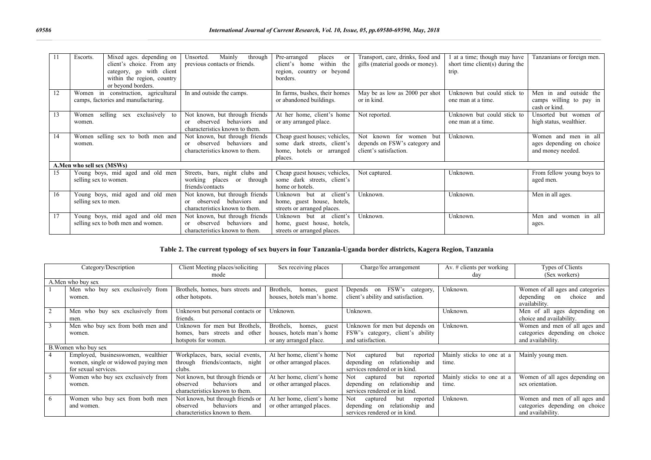|    | Escorts.                          | Mixed ages. depending on            | Mainly<br>through<br>Unsorted.     | Pre-arranged<br>places<br>or  | Transport, care, drinks, food and | 1 at a time; though may have    | Tanzanians or foreign men. |
|----|-----------------------------------|-------------------------------------|------------------------------------|-------------------------------|-----------------------------------|---------------------------------|----------------------------|
|    |                                   | client's choice. From any           | previous contacts or friends.      | within the<br>client's home   | gifts (material goods or money).  | short time client(s) during the |                            |
|    |                                   | category, go with client            |                                    | region, country or beyond     |                                   | trip.                           |                            |
|    |                                   | within the region, country          |                                    | borders.                      |                                   |                                 |                            |
|    |                                   | or beyond borders.                  |                                    |                               |                                   |                                 |                            |
|    |                                   | Women in construction, agricultural | In and outside the camps.          | In farms, bushes, their homes | May be as low as 2000 per shot    | Unknown but could stick to      | Men in and outside the     |
|    |                                   | camps, factories and manufacturing. |                                    | or abandoned buildings.       | or in kind.                       | one man at a time.              | camps willing to pay in    |
|    |                                   |                                     |                                    |                               |                                   |                                 | cash or kind.              |
| 13 | Women                             | selling sex exclusively to          | Not known, but through friends     | At her home, client's home    | Not reported.                     | Unknown but could stick to      | Unsorted but women of      |
|    | women.                            |                                     | observed behaviors and             | or any arranged place.        |                                   | one man at a time.              | high status, wealthier.    |
|    |                                   |                                     | characteristics known to them.     |                               |                                   |                                 |                            |
| 14 | Women selling sex to both men and |                                     | Not known, but through friends     | Cheap guest houses; vehicles, | known for women but<br><b>Not</b> | Unknown.                        | Women and men in all       |
|    | women.                            |                                     | observed behaviors and<br>$\alpha$ | some dark streets, client's   | depends on FSW's category and     |                                 | ages depending on choice   |
|    |                                   |                                     | characteristics known to them.     | home, hotels or arranged      | client's satisfaction.            |                                 | and money needed.          |
|    |                                   |                                     |                                    | places.                       |                                   |                                 |                            |
|    | A.Men who sell sex (MSWs)         |                                     |                                    |                               |                                   |                                 |                            |
| 15 |                                   | Young boys, mid aged and old men    | Streets, bars, night clubs and     | Cheap guest houses; vehicles, | Not captured.                     | Unknown.                        | From fellow young boys to  |
|    | selling sex to women.             |                                     | working places or<br>through       | some dark streets, client's   |                                   |                                 | aged men.                  |
|    |                                   |                                     | friends/contacts                   | home or hotels.               |                                   |                                 |                            |
| 16 |                                   | Young boys, mid aged and old men    | Not known, but through friends     | client's<br>Unknown but at    | Unknown.                          | Unknown.                        | Men in all ages.           |
|    | selling sex to men.               |                                     | or observed behaviors and          | home, guest house, hotels,    |                                   |                                 |                            |
|    |                                   |                                     | characteristics known to them.     | streets or arranged places.   |                                   |                                 |                            |
| 17 |                                   | Young boys, mid aged and old men    | Not known, but through friends     | Unknown but at client's       | Unknown.                          | Unknown.                        | women in all<br>Men<br>and |
|    |                                   | selling sex to both men and women.  | or observed behaviors and          | home, guest house, hotels,    |                                   |                                 | ages.                      |
|    |                                   |                                     | characteristics known to them.     | streets or arranged places.   |                                   |                                 |                            |

### **Table 2. The current typology of sex buyers in four Tanzania-Uganda border districts, Kagera Region, Tanzania**

|                      | Category/Description                | Client Meeting places/soliciting   | Sex receiving places         | Charge/fee arrangement             | Av. $\#$ clients per working | Types of Clients                 |  |
|----------------------|-------------------------------------|------------------------------------|------------------------------|------------------------------------|------------------------------|----------------------------------|--|
|                      |                                     |                                    |                              |                                    |                              |                                  |  |
|                      |                                     | mode                               |                              |                                    | dav                          | (Sex workers)                    |  |
| A. Men who buy sex   |                                     |                                    |                              |                                    |                              |                                  |  |
|                      | Men who buy sex exclusively from    | Brothels, homes, bars streets and  | Brothels.<br>homes,<br>guest | Depends on FSW's category,         | Unknown.                     | Women of all ages and categories |  |
|                      | women.                              | other hotspots.                    | houses, hotels man's home.   | client's ability and satisfaction. |                              | depending<br>choice<br>on<br>and |  |
|                      |                                     |                                    |                              |                                    |                              | availability.                    |  |
|                      | Men who buy sex exclusively from    | Unknown but personal contacts or   | Unknown.                     | Unknown.                           | Unknown.                     | Men of all ages depending on     |  |
|                      | men.                                | friends.                           |                              |                                    |                              | choice and availability.         |  |
|                      | Men who buy sex from both men and   | Unknown for men but Brothels,      | Brothels,<br>homes,<br>guest | Unknown for men but depends on     | Unknown.                     | Women and men of all ages and    |  |
|                      | women.                              | homes, bars streets and other      | houses, hotels man's home    | FSW's category, client's ability   |                              | categories depending on choice   |  |
|                      |                                     | hotspots for women.                | or any arranged place.       | and satisfaction.                  |                              | and availability.                |  |
| B. Women who buy sex |                                     |                                    |                              |                                    |                              |                                  |  |
|                      | Employed, businesswomen, wealthier  | Workplaces, bars, social events,   | At her home, client's home   | captured<br>but<br>reported<br>Not | Mainly sticks to one at a    | Mainly young men.                |  |
|                      | women, single or widowed paying men | friends/contacts, night<br>through | or other arranged places.    | depending on relationship and      | time.                        |                                  |  |
|                      | for sexual services.                | clubs.                             |                              | services rendered or in kind.      |                              |                                  |  |
| 5                    | Women who buy sex exclusively from  | Not known, but through friends or  | At her home, client's home   | captured<br>but<br>reported<br>Not | Mainly sticks to one at a    | Women of all ages depending on   |  |
|                      | women.                              | behaviors<br>observed<br>and       | or other arranged places.    | depending on relationship and      | time.                        | sex orientation.                 |  |
|                      |                                     | characteristics known to them.     |                              | services rendered or in kind.      |                              |                                  |  |
| 6                    | Women who buy sex from both men     | Not known, but through friends or  | At her home, client's home   | captured<br>reported<br>but<br>Not | Unknown.                     | Women and men of all ages and    |  |
|                      | and women.                          | behaviors<br>observed<br>and       | or other arranged places.    | relationship and<br>depending on   |                              | categories depending on choice   |  |
|                      |                                     | characteristics known to them.     |                              | services rendered or in kind.      |                              | and availability.                |  |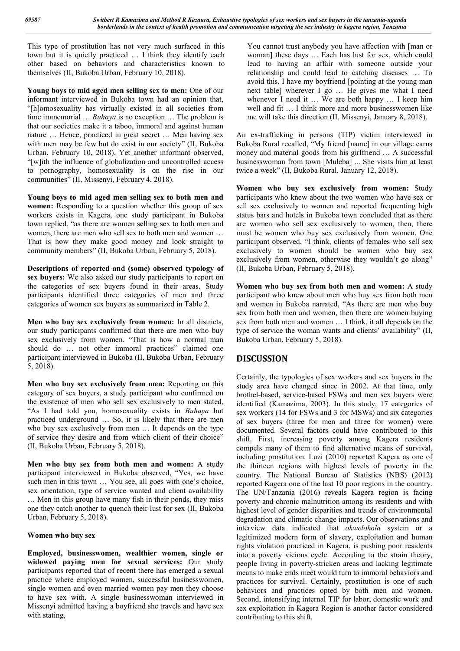This type of prostitution has not very much surfaced in this town but it is quietly practiced … I think they identify each other based on behaviors and characteristics known to themselves (II, Bukoba Urban, February 10, 2018).

**Young boys to mid aged men selling sex to men:** One of our informant interviewed in Bukoba town had an opinion that, "[h]omosexuality has virtually existed in all societies from time immemorial … *Buhaya* is no exception … The problem is that our societies make it a taboo, immoral and against human nature … Hence, practiced in great secret … Men having sex with men may be few but do exist in our society" (II, Bukoba Urban, February 10, 2018). Yet another informant observed, "[w]ith the influence of globalization and uncontrolled access to pornography, homosexuality is on the rise in our communities" (II, Missenyi, February 4, 2018).

**Young boys to mid aged men selling sex to both men and women:** Responding to a question whether this group of sex workers exists in Kagera, one study participant in Bukoba town replied, "as there are women selling sex to both men and women, there are men who sell sex to both men and women … That is how they make good money and look straight to community members" (II, Bukoba Urban, February 5, 2018).

**Descriptions of reported and (some) observed typology of sex buyers:** We also asked our study participants to report on the categories of sex buyers found in their areas. Study participants identified three categories of men and three categories of women sex buyers as summarized in Table 2.

**Men who buy sex exclusively from women:** In all districts, our study participants confirmed that there are men who buy sex exclusively from women. "That is how a normal man should do … not other immoral practices" claimed one participant interviewed in Bukoba (II, Bukoba Urban, February 5, 2018).

**Men who buy sex exclusively from men:** Reporting on this category of sex buyers, a study participant who confirmed on the existence of men who sell sex exclusively to men stated, "As I had told you, homosexuality exists in *Buhaya* but practiced underground … So, it is likely that there are men who buy sex exclusively from men ... It depends on the type of service they desire and from which client of their choice" (II, Bukoba Urban, February 5, 2018).

**Men who buy sex from both men and women:** A study participant interviewed in Bukoba observed, "Yes, we have such men in this town … You see, all goes with one's choice, sex orientation, type of service wanted and client availability … Men in this group have many fish in their ponds, they miss one they catch another to quench their lust for sex (II, Bukoba Urban, February 5, 2018).

#### **Women who buy sex**

**Employed, businesswomen, wealthier women, single or widowed paying men for sexual services:** Our study participants reported that of recent there has emerged a sexual practice where employed women, successful businesswomen, single women and even married women pay men they choose to have sex with. A single businesswoman interviewed in Missenyi admitted having a boyfriend she travels and have sex with stating,

You cannot trust anybody you have affection with [man or woman] these days … Each has lust for sex, which could lead to having an affair with someone outside your relationship and could lead to catching diseases … To avoid this, I have my boyfriend [pointing at the young man next table] wherever I go … He gives me what I need whenever I need it … We are both happy … I keep him well and fit … I think more and more businesswomen like me will take this direction (II, Missenyi, January 8, 2018).

An ex-trafficking in persons (TIP) victim interviewed in Bukoba Rural recalled, "My friend [name] in our village earns money and material goods from his girlfriend … A successful businesswoman from town [Muleba] ... She visits him at least twice a week" (II, Bukoba Rural, January 12, 2018).

**Women who buy sex exclusively from women:** Study participants who knew about the two women who have sex or sell sex exclusively to women and reported frequenting high status bars and hotels in Bukoba town concluded that as there are women who sell sex exclusively to women, then, there must be women who buy sex exclusively from women. One participant observed, "I think, clients of females who sell sex exclusively to women should be women who buy sex exclusively from women, otherwise they wouldn't go along" (II, Bukoba Urban, February 5, 2018).

**Women who buy sex from both men and women:** A study participant who knew about men who buy sex from both men and women in Bukoba narrated, "As there are men who buy sex from both men and women, then there are women buying sex from both men and women … I think, it all depends on the type of service the woman wants and clients' availability" (II, Bukoba Urban, February 5, 2018).

### **DISCUSSION**

Certainly, the typologies of sex workers and sex buyers in the study area have changed since in 2002. At that time, only brothel-based, service-based FSWs and men sex buyers were identified (Kamazima, 2003). In this study, 17 categories of sex workers (14 for FSWs and 3 for MSWs) and six categories of sex buyers (three for men and three for women) were documented. Several factors could have contributed to this shift. First, increasing poverty among Kagera residents compels many of them to find alternative means of survival, including prostitution. Luzi (2010) reported Kagera as one of the thirteen regions with highest levels of poverty in the country. The National Bureau of Statistics (NBS) (2012) reported Kagera one of the last 10 poor regions in the country. The UN/Tanzania (2016) reveals Kagera region is facing poverty and chronic malnutrition among its residents and with highest level of gender disparities and trends of environmental degradation and climatic change impacts. Our observations and interview data indicated that *okwelokola* system or a legitimized modern form of slavery, exploitation and human rights violation practiced in Kagera, is pushing poor residents into a poverty vicious cycle. According to the strain theory, people living in poverty-stricken areas and lacking legitimate means to make ends meet would turn to immoral behaviors and practices for survival. Certainly, prostitution is one of such behaviors and practices opted by both men and women. Second, intensifying internal TIP for labor, domestic work and sex exploitation in Kagera Region is another factor considered contributing to this shift.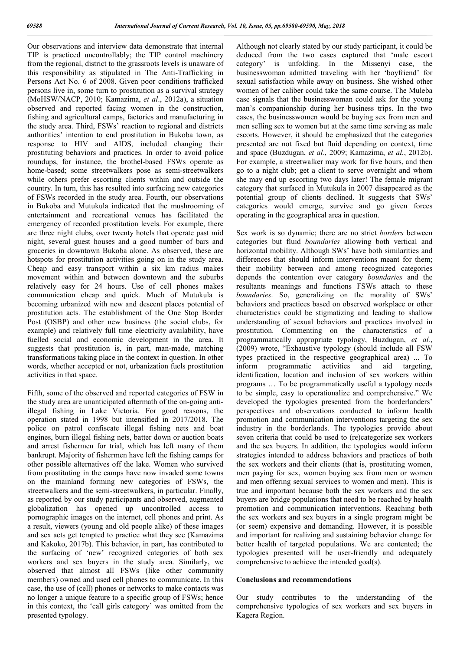Our observations and interview data demonstrate that internal TIP is practiced uncontrollably; the TIP control machinery from the regional, district to the grassroots levels is unaware of this responsibility as stipulated in The Anti-Trafficking in Persons Act No. 6 of 2008. Given poor conditions trafficked persons live in, some turn to prostitution as a survival strategy (MoHSW/NACP, 2010; Kamazima, *et al*., 2012a), a situation observed and reported facing women in the construction, fishing and agricultural camps, factories and manufacturing in the study area. Third, FSWs' reaction to regional and districts authorities' intention to end prostitution in Bukoba town, as response to HIV and AIDS, included changing their prostituting behaviors and practices. In order to avoid police roundups, for instance, the brothel-based FSWs operate as home-based; some streetwalkers pose as semi-streetwalkers while others prefer escorting clients within and outside the country. In turn, this has resulted into surfacing new categories of FSWs recorded in the study area. Fourth, our observations in Bukoba and Mutukula indicated that the mushrooming of entertainment and recreational venues has facilitated the emergency of recorded prostitution levels. For example, there are three night clubs, over twenty hotels that operate past mid night, several guest houses and a good number of bars and groceries in downtown Bukoba alone. As observed, these are hotspots for prostitution activities going on in the study area. Cheap and easy transport within a six km radius makes movement within and between downtown and the suburbs relatively easy for 24 hours. Use of cell phones makes communication cheap and quick. Much of Mutukula is becoming urbanized with new and descent places potential of prostitution acts. The establishment of the One Stop Border Post (OSBP) and other new business (the social clubs, for example) and relatively full time electricity availability, have fuelled social and economic development in the area. It suggests that prostitution is, in part, man-made, matching transformations taking place in the context in question. In other words, whether accepted or not, urbanization fuels prostitution activities in that space.

Fifth, some of the observed and reported categories of FSW in the study area are unanticipated aftermath of the on-going antiillegal fishing in Lake Victoria. For good reasons, the operation stated in 1998 but intensified in 2017/2018. The police on patrol confiscate illegal fishing nets and boat engines, burn illegal fishing nets, batter down or auction boats and arrest fishermen for trial, which has left many of them bankrupt. Majority of fishermen have left the fishing camps for other possible alternatives off the lake. Women who survived from prostituting in the camps have now invaded some towns on the mainland forming new categories of FSWs, the streetwalkers and the semi-streetwalkers, in particular. Finally, as reported by our study participants and observed, augmented globalization has opened up uncontrolled access to pornographic images on the internet, cell phones and print. As a result, viewers (young and old people alike) of these images and sex acts get tempted to practice what they see (Kamazima and Kakoko, 2017b). This behavior, in part, has contributed to the surfacing of 'new' recognized categories of both sex workers and sex buyers in the study area. Similarly, we observed that almost all FSWs (like other community members) owned and used cell phones to communicate. In this case, the use of (cell) phones or networks to make contacts was no longer a unique feature to a specific group of FSWs; hence in this context, the 'call girls category' was omitted from the presented typology.

Although not clearly stated by our study participant, it could be deduced from the two cases captured that 'male escort category' is unfolding. In the Missenyi case, the businesswoman admitted traveling with her 'boyfriend' for sexual satisfaction while away on business. She wished other women of her caliber could take the same course. The Muleba case signals that the businesswoman could ask for the young man's companionship during her business trips. In the two cases, the businesswomen would be buying sex from men and men selling sex to women but at the same time serving as male escorts. However, it should be emphasized that the categories presented are not fixed but fluid depending on context, time and space (Buzdugan, *et al.*, 2009; Kamazima, *et al.*, 2012b). For example, a streetwalker may work for five hours, and then go to a night club; get a client to serve overnight and whom she may end up escorting two days later! The female migrant category that surfaced in Mutukula in 2007 disappeared as the potential group of clients declined. It suggests that SWs' categories would emerge, survive and go given forces operating in the geographical area in question.

Sex work is so dynamic; there are no strict *borders* between categories but fluid *boundaries* allowing both vertical and horizontal mobility. Although SWs' have both similarities and differences that should inform interventions meant for them; their mobility between and among recognized categories depends the contention over category *boundaries* and the resultants meanings and functions FSWs attach to these *boundaries*. So, generalizing on the morality of SWs' behaviors and practices based on observed workplace or other characteristics could be stigmatizing and leading to shallow understanding of sexual behaviors and practices involved in prostitution. Commenting on the characteristics of a programmatically appropriate typology, Buzdugan, *et al.*, (2009) wrote, "Exhaustive typology (should include all FSW types practiced in the respective geographical area) ... To inform programmatic activities and aid targeting, identification, location and inclusion of sex workers within programs … To be programmatically useful a typology needs to be simple, easy to operationalize and comprehensive." We developed the typologies presented from the borderlanders' perspectives and observations conducted to inform health promotion and communication interventions targeting the sex industry in the borderlands. The typologies provide about seven criteria that could be used to (re)categorize sex workers and the sex buyers. In addition, the typologies would inform strategies intended to address behaviors and practices of both the sex workers and their clients (that is, prostituting women, men paying for sex, women buying sex from men or women and men offering sexual services to women and men). This is true and important because both the sex workers and the sex buyers are bridge populations that need to be reached by health promotion and communication interventions. Reaching both the sex workers and sex buyers in a single program might be (or seem) expensive and demanding. However, it is possible and important for realizing and sustaining behavior change for better health of targeted populations. We are contented; the typologies presented will be user-friendly and adequately comprehensive to achieve the intended goal(s).

#### **Conclusions and recommendations**

Our study contributes to the understanding of the comprehensive typologies of sex workers and sex buyers in Kagera Region.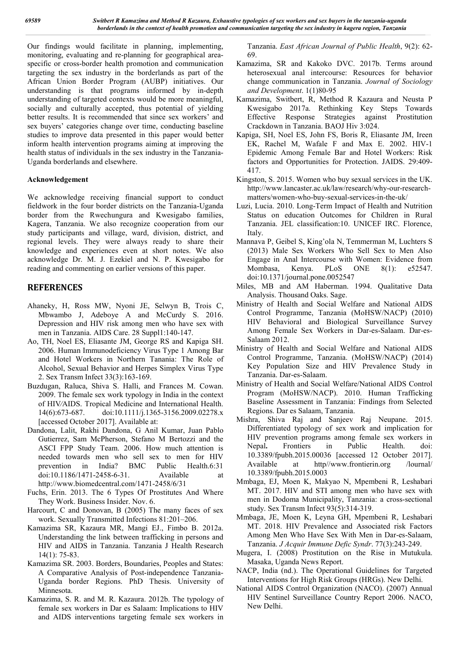Our findings would facilitate in planning, implementing, monitoring, evaluating and re-planning for geographical areaspecific or cross-border health promotion and communication targeting the sex industry in the borderlands as part of the African Union Border Program (AUBP) initiatives. Our understanding is that programs informed by in-depth understanding of targeted contexts would be more meaningful, socially and culturally accepted, thus potential of yielding better results. It is recommended that since sex workers' and sex buyers' categories change over time, conducting baseline studies to improve data presented in this paper would better inform health intervention programs aiming at improving the health status of individuals in the sex industry in the Tanzania-Uganda borderlands and elsewhere.

#### **Acknowledgement**

We acknowledge receiving financial support to conduct fieldwork in the four border districts on the Tanzania-Uganda border from the Rwechungura and Kwesigabo families, Kagera, Tanzania. We also recognize cooperation from our study participants and village, ward, division, district, and regional levels. They were always ready to share their knowledge and experiences even at short notes. We also acknowledge Dr. M. J. Ezekiel and N. P. Kwesigabo for reading and commenting on earlier versions of this paper.

## **REFERENCES**

- Ahaneky, H, Ross MW, Nyoni JE, Selwyn B, Trois C, Mbwambo J, Adeboye A and McCurdy S. 2016. Depression and HIV risk among men who have sex with men in Tanzania. AIDS Care. 28 Suppl1:140-147.
- Ao, TH, Noel ES, Eliasante JM, George RS and Kapiga SH. 2006. Human Immunodeficiency Virus Type 1 Among Bar and Hotel Workers in Northern Tanania: The Role of Alcohol, Sexual Behavior and Herpes Simplex Virus Type 2. Sex Transm Infect 33(3):163-169.
- Buzdugan, Raluca, Shiva S. Halli, and Frances M. Cowan. 2009. The female sex work typology in India in the context of HIV⁄AIDS. Tropical Medicine and International Health. 14(6):673-687. doi:10.1111/j.1365-3156.2009.02278.x [accessed October 2017]. Available at:
- Dandona, Lalit, Rakhi Dandona, G Anil Kumar, Juan Pablo Gutierrez, Sam McPherson, Stefano M Bertozzi and the ASCI FPP Study Team. 2006. How much attention is needed towards men who sell sex to men for HIV prevention in India? BMC Public Health.6:31 doi:10.1186/1471-2458-6-31. Available at http://www.biomedcentral.com/1471-2458/6/31
- Fuchs, Erin. 2013. The 6 Types Of Prostitutes And Where They Work. Business Insider. Nov. 6.
- Harcourt, C and Donovan, B (2005) The many faces of sex work. Sexually Transmitted Infections 81:201–206.
- Kamazima SR, Kazaura MR, Mangi EJ., Fimbo B. 2012a. Understanding the link between trafficking in persons and HIV and AIDS in Tanzania. Tanzania J Health Research 14(1): 75-83.
- Kamazima SR. 2003. Borders, Boundaries, Peoples and States: A Comparative Analysis of Post-independence Tanzania-Uganda border Regions. PhD Thesis. University of Minnesota.
- Kamazima, S. R. and M. R. Kazaura. 2012b. The typology of female sex workers in Dar es Salaam: Implications to HIV and AIDS interventions targeting female sex workers in

Tanzania. *East African Journal of Public Health*, 9(2): 62- 69.

- Kamazima, SR and Kakoko DVC. 2017b. Terms around heterosexual anal intercourse: Resources for behavior change communication in Tanzania. *Journal of Sociology and Development*. 1(1)80-95
- Kamazima, Switbert, R, Method R Kazaura and Neusta P Kwesigabo 2017a. Rethinking Key Steps Towards Effective Response Strategies against Prostitution Crackdown in Tanzania. BAOJ Hiv 3:024.
- Kapiga, SH, Noel ES, John FS, Boris R, Eliasante JM, Ireen EK, Rachel M, Wafale F and Max E. 2002. HIV-1 Epidemic Among Female Bar and Hotel Workers: Risk factors and Opportunities for Protection. JAIDS. 29:409- 417.
- Kingston, S. 2015. Women who buy sexual services in the UK. http://www.lancaster.ac.uk/law/research/why-our-researchmatters/women-who-buy-sexual-services-in-the-uk/
- Luzi, Lucia. 2010. Long-Term Impact of Health and Nutrition Status on education Outcomes for Children in Rural Tanzania. JEL classification:10. UNICEF IRC. Florence, Italy.
- Mannava P, Geibel S, King'ola N, Temmerman M, Luchters S (2013) Male Sex Workers Who Sell Sex to Men Also Engage in Anal Intercourse with Women: Evidence from Mombasa, Kenya. PLoS ONE 8(1): e52547. doi:10.1371/journal.pone.0052547
- Miles, MB and AM Haberman. 1994. Qualitative Data Analysis. Thousand Oaks. Sage.
- Ministry of Health and Social Welfare and National AIDS Control Programme, Tanzania (MoHSW/NACP) (2010) HIV Behavioral and Biological Surveillance Survey Among Female Sex Workers in Dar-es-Salaam. Dar-es-Salaam 2012.
- Ministry of Health and Social Welfare and National AIDS Control Programme, Tanzania. (MoHSW/NACP) (2014) Key Population Size and HIV Prevalence Study in Tanzania. Dar-es-Salaam.
- Ministry of Health and Social Welfare/National AIDS Control Program (MoHSW/NACP). 2010. Human Trafficking Baseline Assessment in Tanzania: Findings from Selected Regions. Dar es Salaam, Tanzania.
- Mishra, Shiva Raj and Sanjeev Raj Neupane. 2015. Differentiated typology of sex work and implication for HIV prevention programs among female sex workers in Nepal**.** Frontiers in Public Health. doi: 10.3389/fpubh.2015.00036 [accessed 12 October 2017]. Available at http//www.frontierin.org /lournal/ 10.3389/fpubh.2015.0003
- Mmbaga, EJ, Moen K, Makyao N, Mpembeni R, Leshabari MT. 2017. HIV and STI among men who have sex with men in Dodoma Municipality, Tanzania: a cross-sectional study. Sex Transm Infect 93(5):314-319.
- Mmbaga, JE, Moen K, Leyna GH, Mpembeni R, Leshabari MT. 2018. HIV Prevalence and Associated risk Factors Among Men Who Have Sex With Men in Dar-es-Salaam, Tanzania. *J Acquir Immune Defic Syndr*. 77(3):243-249.
- Mugera, I. (2008) Prostitution on the Rise in Mutukula. Masaka, Uganda News Report.
- NACP, India (nd.). The Operational Guidelines for Targeted Interventions for High Risk Groups (HRGs). New Delhi.
- National AIDS Control Organization (NACO). (2007) Annual HIV Sentinel Surveillance Country Report 2006. NACO, New Delhi.